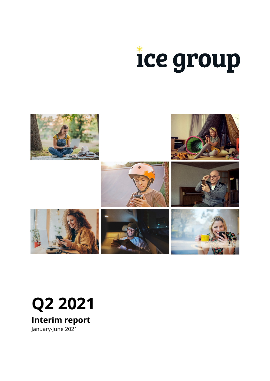



## **Q2 2021**

**Interim report** January-June 2021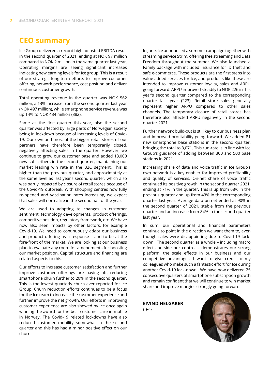## **CEO summary**

Ice Group delivered a record high adjusted EBITDA result in the second quarter of 2021, ending at NOK 97 million compared to NOK 2 million in the same quarter last year. Operating margins are seeing significant increases indicating new earning levels for Ice group. This is a result of our strategic long-term efforts to improve customer offering, network performance, cost position and deliver continuous customer growth.

Total operating revenue in the quarter was NOK 562 million, a 13% increase from the second quarter last year (NOK 497 million), while smartphone service revenue was up 14% to NOK 434 million (382).

Same as the first quarter this year, also the second quarter was affected by large parts of Norwegian society being in lockdown because of increasing levels of Covid-19. Our own and most of the bigger retail stores of our partners have therefore been temporarily closed, negatively affecting sales in the quarter. However, we continue to grow our customer base and added 13,000 new subscribers in the second quarter, maintaining our market leading win rate in the B2C segment. This is higher than the previous quarter, and approximately at the same level as last year's second quarter, which also was partly impacted by closure of retail stores because of the Covid-19 outbreak. With shopping centres now fully re-opened and vaccination rates increasing, we expect that sales will normalize in the second half of the year.

We are used to adapting to changes in customer sentiment, technology developments, product offerings, competitive position, regulatory framework, etc. We have now also seen impacts by other factors, for example Covid-19. We need to continuously adapt our business and product offering as a response – and to be at the fore-front of the market. We are looking at our business plan to evaluate any room for amendments for boosting our market position. Capital structure and financing are related aspects to this.

Our efforts to increase customer satisfaction and further improve customer offerings are paying off, reducing smartphone churn further to 20% in the second quarter. This is the lowest quarterly churn ever reported for Ice Group. Churn reduction efforts continues to be a focus for the Ice team to increase the customer experience and further improve the net growth. Our efforts in improving customer experience are also showed by Ice once again winning the award for the best customer care in mobile in Norway. The Covid-19 related lockdowns have also reduced customer mobility somewhat in the second quarter and this has had a minor positive effect on our churn.

In June, Ice announced a summer campaign together with streaming service Strim, offering free streaming and Data Freedom throughout the summer. We also launched a Family package with included insurance for ID theft and safe e-commerce. These products are the first steps into value added services for Ice, and products like these are intended to improve customer loyalty, sales and ARPU going forward. ARPU improved steadily to NOK 226 in this year's second quarter compared to the corresponding quarter last year (223). Retail store sales generally represent higher ARPU compared to other sales channels. The temporary closure of retail stores has therefore also affected ARPU negatively in the second quarter 2021.

Further network build-out is still key to our business plan and improved profitability going forward. We added 81 new smartphone base stations in the second quarter, bringing the total to 3,071. This run-rate is in line with Ice Group's guidance of adding between 300 and 500 base stations in 2021.

Increasing share of data and voice traffic in Ice Group's own network is a key enabler for improved profitability and quality of services. On-net share of voice traffic continued its positive growth in the second quarter 2021, ending at 71% in the quarter. This is up from 68% in the previous quarter and up from 43% in the corresponding quarter last year. Average data on-net ended at 90% in the second quarter of 2021, stable from the previous quarter and an increase from 84% in the second quarter last year.

In sum, our operational and financial parameters continue to point in the direction we want them to, even though sales were disappointing due to Covid-19 lockdown. The second quarter as a whole – including macro effects outside our control – demonstrates our strong platform, the scale effects in our business and our competitive advantages. I want to give credit to my colleagues who make such a fantastic effort for Ice during another Covid-19 lock-down. We have now delivered 25 consecutive quarters of smartphone subscription growth and remain confident that we will continue to win market share and improve margins strongly going forward.

**EIVIND HELGAKER** CEO

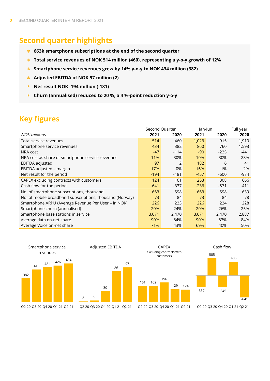## **Second quarter highlights**

- **663k smartphone subscriptions at the end of the second quarter**
- **Total service revenues of NOK 514 million (460), representing a y-o-y growth of 12%**
- **Smartphone service revenues grew by 14% y-o-y to NOK 434 million (382)** 案。
- **Adjusted EBITDA of NOK 97 million (2)**
- **Net result NOK -194 million (-181)** sie i
- **Churn (annualised) reduced to 20 %, a 4 %-point reduction y-o-y** sie -

## **Key figures**

|                                                          | Second Quarter |        |        | Jan-Jun |        |
|----------------------------------------------------------|----------------|--------|--------|---------|--------|
| <b>NOK millions</b>                                      | 2021           | 2020   | 2021   | 2020    | 2020   |
| Total service revenues                                   | 514            | 460    | 1,023  | 915     | 1,910  |
| Smartphone service revenues                              | 434            | 382    | 860    | 760     | 1,593  |
| NRA cost                                                 | $-47$          | $-114$ | $-90$  | $-225$  | -441   |
| NRA cost as share of smartphone service revenues         | 11%            | 30%    | 10%    | 30%     | 28%    |
| EBITDA adjusted                                          | 97             | 2      | 182    | 6       | 41     |
| EBITDA adjusted - margin                                 | 17%            | 0%     | 16%    | 1%      | 2%     |
| Net result for the period                                | $-194$         | $-181$ | $-457$ | $-600$  | $-974$ |
| CAPEX excluding contracts with customers                 | 124            | 161    | 253    | 308     | 666    |
| Cash flow for the period                                 | $-641$         | $-337$ | $-236$ | $-571$  | $-411$ |
| No. of smartphone subscriptions, thousand                | 663            | 598    | 663    | 598     | 639    |
| No. of mobile broadband subscriptions, thousand (Norway) | 73             | 84     | 73     | 84      | 78     |
| Smartphone ARPU (Average Revenue Per User - in NOK)      | 226            | 223    | 226    | 224     | 228    |
| Smartphone churn (annualised)                            | 20%            | 24%    | 20%    | 26%     | 25%    |
| Smartphone base stations in service                      | 3,071          | 2,470  | 3,071  | 2,470   | 2,887  |
| Average data on-net share                                | 90%            | 84%    | 90%    | 83%     | 84%    |
| Average Voice on-net share                               | 71%            | 43%    | 69%    | 40%     | 50%    |

405

 $-641$ 

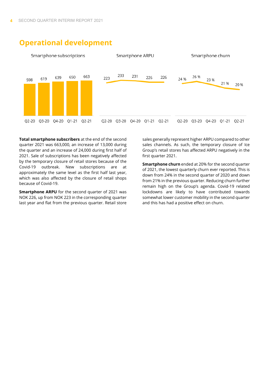

## **Operational development**

**Total smartphone subscribers** at the end of the second quarter 2021 was 663,000, an increase of 13,000 during the quarter and an increase of 24,000 during first half of 2021. Sale of subscriptions has been negatively affected by the temporary closure of retail stores because of the Covid-19 outbreak. New subscriptions are at approximately the same level as the first half last year, which was also affected by the closure of retail shops because of Covid-19.

**Smartphone ARPU** for the second quarter of 2021 was NOK 226, up from NOK 223 in the corresponding quarter last year and flat from the previous quarter. Retail store

sales generally represent higher ARPU compared to other sales channels. As such, the temporary closure of Ice Group's retail stores has affected ARPU negatively in the first quarter 2021.

**Smartphone churn** ended at 20% for the second quarter of 2021, the lowest quarterly churn ever reported. This is down from 24% in the second quarter of 2020 and down from 21% in the previous quarter. Reducing churn further remain high on the Group's agenda. Covid-19 related lockdowns are likely to have contributed towards somewhat lower customer mobility in the second quarter and this has had a positive effect on churn.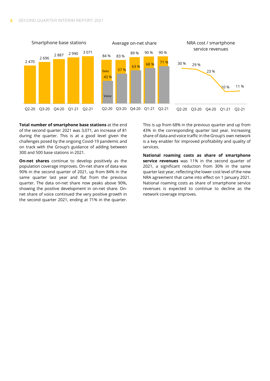

**Total number of smartphone base stations** at the end of the second quarter 2021 was 3,071, an increase of 81 during the quarter. This is at a good level given the challenges posed by the ongoing Covid-19 pandemic and on track with the Group's guidance of adding between 300 and 500 base stations in 2021.

**On-net shares** continue to develop positively as the population coverage improves. On-net share of data was 90% in the second quarter of 2021, up from 84% in the same quarter last year and flat from the previous quarter. The data on-net share now peaks above 90%, showing the positive development in on-net share. Onnet share of voice continued the very positive growth in the second quarter 2021, ending at 71% in the quarter. This is up from 68% in the previous quarter and up from 43% in the corresponding quarter last year. Increasing share of data and voice traffic in the Group's own network is a key enabler for improved profitability and quality of services.

**National roaming costs as share of smartphone service revenues** was 11% in the second quarter of 2021, a significant reduction from 30% in the same quarter last year, reflecting the lower cost level of the new NRA agreement that came into effect on 1 January 2021. National roaming costs as share of smartphone service revenues is expected to continue to decline as the network coverage improves.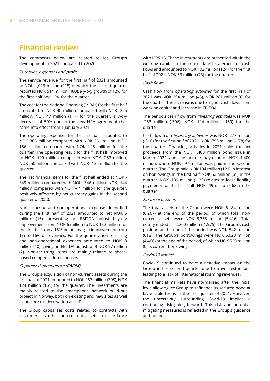## **Financial review**

The comments below are related to Ice Group's development in 2021 compared to 2020.

#### Turnover, expenses and profit

The service revenue for the first half of 2021 amounted to NOK 1,023 million (915) of which the second quarter reported NOK 514 million (460), a y-o-y growth of 12% for the first half and 12% for the quarter.

The cost for the National Roaming ("NRA") for the first half amounted to NOK 90 million compared with NOK 225 million, NOK 47 million (114) for the quarter, a y-o-y decrease of 59% due to the new NRA-agreement that came into effect from 1 January 2021.

The operating expenses for the first half amounted to NOK 305 million compared with NOK 261 million, NOK 156 million compared with NOK 125 million for the quarter. The operating result for the first half improved to NOK -109 million compared with NOK -253 million, NOK -50 million compared with NOK -136 million for the quarter.

The net financial items for the first half ended at NOK - 349 million compared with NOK -346 million, NOK -144 million compared with NOK -44 million for the quarter, positively affected by net currency gains in the second quarter of 2020.

Non-recurring and non-operational expenses identified during the first half of 2021 amounted to net NOK 5 million (16), presenting an EBITDA adjusted y-o-y improvement from NOK 6 million to NOK 182 million for the first half and a 15%-points margin improvement from 1% to 16% of revenues. For the quarter, non-recurring and non-operational expenses amounted to NOK 3 million (10), giving an EBITDA adjusted of NOK 97 million (2). Non-recurring items are mainly related to sharebased compensation expenses.

#### Capitalised expenditure (CAPEX)

The Group's acquisition of non-current assets during the first half of 2021 amounted to NOK 253 million (308), NOK 124 million (161) for the quarter. The investments are mainly related to the smartphone network build-out project in Norway, both on existing and new sites as well as on core modernisation and IT.

The Group capitalises costs related to contracts with customers as other non-current assets in accordance with IFRS 15. These investments are presented within the working capital in the consolidated statement of cash flows and amounted to NOK 102 million (124) for the first half of 2021, NOK 53 million (73) for the quarter.

#### Cash flows

Cash flow from *operating activities* for the first half of 2021 was NOK 294 million (45), NOK 281 million (0) for the quarter. The increase is due to higher cash flows from working capital and increase in EBITDA.

The period's cash flow from *investing activities* was NOK -253 million (-306), NOK -124 million (-159) for the quarter.

Cash flow from *financing activities* was NOK -277 million (-310) for the first half of 2021, NOK -798 million (-178) for the quarter. Financing activities in 2021 holds the net proceeds from the NOK 1,400 million bond issue in March 2021 and the bond repayment of NOK 1,400 million, where NOK 697 million was paid in the second quarter. The Group paid NOK 104 million (121) in interest on borrowings in the first half, NOK 52 million (61) in the quarter. NOK -139 million (-135) relates to lease liability payments for the first half, NOK -49 million (-62) in the quarter.

#### Financial position

The total assets of the Group were NOK 6,184 million (6,267) at the end of the period, of which total noncurrent assets were NOK 5,365 million (5,416). Total equity ended at -2,200 million (-1,575). The Group's cash position at the end of the period was NOK 542 million (618). The Group's borrowings were NOK 5,028 million (4,466) at the end of the period, of which NOK 520 million (0) is current borrowings.

#### Covid-19 impact

Covid-19 continued to have a negative impact on the Group in the second quarter due to travel restrictions leading to a lack of international roaming revenues.

The financial markets have normalised after the initial lows allowing Ice Group to refinance its secured bond at favourable terms in the first quarter of 2021. However, the uncertainty surrounding Covid-19 implies a continuing risk going forward. This risk and potential mitigating measures is reflected in the Group's guidance and outlook.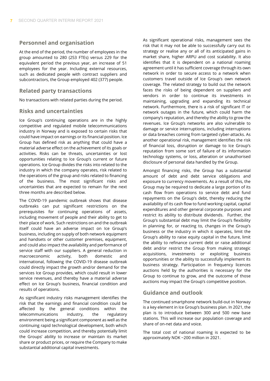#### **Personnel and organisation**

At the end of the period, the number of employees in the group amounted to 280 (253 FTEs) versus 229 for the equivalent period the previous year, an increase of 51 employees for the year. Including external resources, such as dedicated people with contract suppliers and subcontractors, the Group employed 402 (377) people.

#### **Related party transactions**

No transactions with related parties during the period.

#### **Risks and uncertainties**

Ice Group's continuing operations are in the highly competitive and regulated mobile telecommunications industry in Norway and is exposed to certain risks that could have impact on earnings or its financial position. Ice Group has defined risk as anything that could have a material adverse effect on the achievement of its goals or activities. Risks can be threats, uncertainties or lost opportunities relating to Ice Group's current or future operations. Ice Group divides the risks into related to the industry in which the company operates, risk related to the operations of the group and risks related to financing of the business. The most significant risks and uncertainties that are expected to remain for the next three months are described below.

The COVID-19 pandemic outbreak shows that disease outbreaks can put significant restrictions on the prerequisites for continuing operations of assets, including movement of people and their ability to get to their place of work. Such restrictions on and the outbreak itself could have an adverse impact on Ice Group's business, including on supply of both network equipment and handsets or other customer premises, equipment, and could also impact the availability and performance of service staff with our suppliers. A general reduction in macroeconomic activity, both domestic and international, following the COVID-19 disease outbreak could directly impact the growth and/or demand for the services Ice Group provides, which could result in lower service revenues, and thereby have a material adverse effect on Ice Group's business, financial condition and results of operations.

As significant industry risks management identifies the risk that the earnings and financial condition could be affected by the general conditions within the telecommunications industry, the regulatory environment being a significant component as well as the continuing rapid technological development, both which could increase competition, and thereby potentially limit the Groups' ability to increase or maintain its market share or product prices, or require the Company to make substantial additional capital investments.

As significant operational risks, management sees the risk that it may not be able to successfully carry out its strategy or realise any or all of its anticipated gains in market share, higher ARPU and cost scalability. It also identifies that it is dependent on a national roaming agreement until it has sufficient coverage through its own network in order to secure access to a network when customers travel outside of Ice Group's own network coverage. The related strategy to build out the network faces the risks of being dependent on suppliers and vendors in order to continue its investments in maintaining, upgrading and expanding its technical network. Furthermore, there is a risk of significant IT or network outages in the future, which could harm the company's reputation, and thereby the ability to grow the revenues. Ice Group's networks are also vulnerable to damage or service interruptions, including interruptions or data breaches coming from targeted cyber-attacks. As another operational risk, management identifies the risk of financial loss, disruption or damage to Ice Group's reputation from some sort of failure of its information technology systems, or loss, alteration or unauthorised disclosure of personal data handled by the Group.

Amongst financing risks, the Group has a substantial amount of debt and debt service obligations and exposure to currency movements. As a result of this, the Group may be required to dedicate a large portion of its cash flow from operations to service debt and fund repayments on the Group's debt, thereby reducing the availability of its cash flow to fund working capital, capital expenditures and other general corporate purposes and restrict its ability to distribute dividends. Further, the Group's substantial debt may limit the Group's flexibility in planning for, or reacting to, changes in the Group's business or the industry in which it operates, limit the Group's ability to raise equity capital in the future, limit the ability to refinance current debt or raise additional debt and/or restrict the Group from making strategic acquisitions, investments or exploiting business opportunities or the ability to successfully implement its business strategy. Participation in frequency licences auctions held by the authorities is necessary for the Group to continue to grow, and the outcome of those auctions may impact the Group's competitive position.

#### **Guidance and outlook**

The continued smartphone network build-out in Norway is a key element in Ice Group's business plan. In 2021, the plan is to introduce between 300 and 500 new base stations. This will increase our population coverage and share of on-net data and voice.

The total cost of national roaming is expected to be approximately NOK ~200 million in 2021.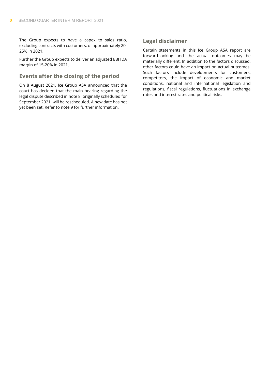The Group expects to have a capex to sales ratio, excluding contracts with customers. of approximately 20- 25% in 2021.

Further the Group expects to deliver an adjusted EBITDA margin of 15-20% in 2021.

#### **Events after the closing of the period**

On 8 August 2021, Ice Group ASA announced that the court has decided that the main hearing regarding the legal dispute described in note 8, originally scheduled for September 2021, will be rescheduled. A new date has not yet been set. Refer to note 9 for further information.

#### **Legal disclaimer**

Certain statements in this Ice Group ASA report are forward-looking and the actual outcomes may be materially different. In addition to the factors discussed, other factors could have an impact on actual outcomes. Such factors include developments for customers, competitors, the impact of economic and market conditions, national and international legislation and regulations, fiscal regulations, fluctuations in exchange rates and interest rates and political risks.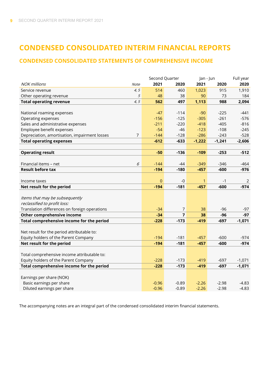## **CONDENSED CONSOLIDATED INTERIM FINANCIAL REPORTS**

#### **CONDENSED CONSOLIDATED STATEMENTS OF COMPREHENSIVE INCOME**

|                                                    | Second Quarter |                | Jan - Jun   |          | Full year |
|----------------------------------------------------|----------------|----------------|-------------|----------|-----------|
| <b>NOK</b> millions<br>Note                        | 2021           | 2020           | 2021        | 2020     | 2020      |
| 4, 5<br>Service revenue                            | 514            | 460            | 1,023       | 915      | 1,910     |
| Other operating revenue<br>5                       | 48             | 38             | 90          | 73       | 184       |
| <b>Total operating revenue</b><br>4, 5             | 562            | 497            | 1,113       | 988      | 2,094     |
|                                                    |                |                |             |          |           |
| National roaming expenses                          | $-47$          | $-114$         | $-90$       | $-225$   | $-441$    |
| Operating expenses                                 | $-156$         | $-125$         | $-305$      | $-261$   | $-576$    |
| Sales and administrative expenses                  | $-211$         | $-220$         | $-418$      | $-405$   | $-816$    |
| Employee benefit expenses                          | $-54$          | $-46$          | $-123$      | $-108$   | $-245$    |
| Depreciation, amortisation, impairment losses<br>7 | $-144$         | $-128$         | $-286$      | $-243$   | $-528$    |
| <b>Total operating expenses</b>                    | $-612$         | $-633$         | $-1,222$    | $-1,241$ | $-2,606$  |
|                                                    |                |                |             |          |           |
| <b>Operating result</b>                            | $-50$          | $-136$         | $-109$      | $-253$   | $-512$    |
|                                                    |                |                |             |          |           |
| Financial items - net<br>6                         | $-144$         | $-44$          | $-349$      | $-346$   | $-464$    |
| <b>Result before tax</b>                           | $-194$         | $-180$         | $-457$      | $-600$   | $-976$    |
|                                                    |                |                |             |          |           |
| Income taxes                                       | $\mathbf{0}$   | $-0$           | $\mathbf 1$ | $-1$     | 2         |
| Net result for the period                          | $-194$         | $-181$         | $-457$      | $-600$   | $-974$    |
|                                                    |                |                |             |          |           |
| Items that may be subsequently                     |                |                |             |          |           |
| reclassified to profit loss:                       |                |                |             |          |           |
| Translation differences on foreign operations      | $-34$          | $\overline{7}$ | 38          | $-96$    | $-97$     |
| Other comprehensive income                         | $-34$          | $\overline{7}$ | 38          | $-96$    | $-97$     |
| Total comprehensive income for the period          | $-228$         | $-173$         | $-419$      | $-697$   | $-1,071$  |
|                                                    |                |                |             |          |           |
| Net result for the period attributable to:         |                |                |             |          |           |
| Equity holders of the Parent Company               | $-194$         | $-181$         | $-457$      | $-600$   | $-974$    |
| Net result for the period                          | $-194$         | $-181$         | $-457$      | $-600$   | $-974$    |
|                                                    |                |                |             |          |           |
| Total comprehensive income attributable to:        |                |                |             |          |           |
| Equity holders of the Parent Company               | $-228$         | $-173$         | $-419$      | $-697$   | $-1,071$  |
| Total comprehensive income for the period          | $-228$         | $-173$         | $-419$      | $-697$   | $-1,071$  |
|                                                    |                |                |             |          |           |
| Earnings per share (NOK)                           |                |                |             |          |           |
| Basic earnings per share                           | $-0.96$        | $-0.89$        | $-2.26$     | $-2.98$  | $-4.83$   |
| Diluted earnings per share                         | $-0.96$        | $-0.89$        | $-2.26$     | $-2.98$  | $-4.83$   |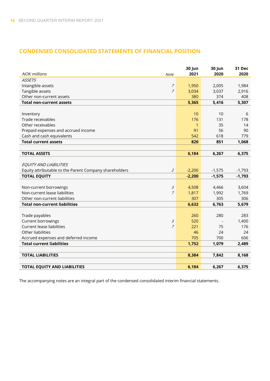#### **CONDENSED CONSOLIDATED STATEMENTS OF FINANCIAL POSITION**

| <b>NOK</b> millions                                    | Note                        | 30 Jun<br>2021 | 30 Jun<br>2020 | 31 Dec<br>2020 |
|--------------------------------------------------------|-----------------------------|----------------|----------------|----------------|
| <b>ASSETS</b>                                          |                             |                |                |                |
| Intangible assets                                      | $\overline{z}$              | 1,950          | 2,005          | 1,984          |
| Tangible assets                                        | $\overline{z}$              | 3,034          | 3,037          | 2,916          |
| Other non-current assets                               |                             | 380            | 374            | 408            |
| <b>Total non-current assets</b>                        |                             | 5,365          | 5,416          | 5,307          |
|                                                        |                             |                |                |                |
| Inventory                                              |                             | 10             | 10             | 6              |
| Trade receivables                                      |                             | 176            | 131            | 178            |
| Other receivables                                      |                             | $\mathbf{1}$   | 35             | 14             |
| Prepaid expenses and accrued income                    |                             | 91             | 56             | 90             |
| Cash and cash equivalents                              |                             | 542            | 618            | 779            |
| <b>Total current assets</b>                            |                             | 820            | 851            | 1,068          |
|                                                        |                             |                |                |                |
| <b>TOTAL ASSETS</b>                                    |                             | 6,184          | 6,267          | 6,375          |
|                                                        |                             |                |                |                |
| EQUITY AND LIABILITIES                                 |                             |                |                |                |
| Equity attributable to the Parent Company shareholders | $\mathcal{Z}_{\mathcal{C}}$ | $-2,200$       | $-1,575$       | $-1,793$       |
| <b>TOTAL EQUITY</b>                                    |                             | $-2,200$       | $-1,575$       | $-1,793$       |
|                                                        |                             |                |                |                |
| Non-current borrowings                                 | $\mathcal{Z}_{\mathcal{Z}}$ | 4,508          | 4,466          | 3,604          |
| Non-current lease liabilities                          | $\overline{z}$              | 1,817          | 1,992          | 1,769          |
| Other non-current liabilities                          |                             | 307            | 305            | 306            |
| <b>Total non-current liabilities</b>                   |                             | 6,632          | 6,763          | 5,679          |
|                                                        |                             |                |                |                |
| Trade payables                                         |                             | 260            | 280            | 283            |
| <b>Current borrowings</b>                              | $\mathcal{Z}_{\mathcal{Z}}$ | 520            |                | 1,400          |
| <b>Current lease liabilities</b>                       | $\overline{z}$              | 221            | 75             | 176            |
| Other liabilities                                      |                             | 46             | 24             | 24             |
| Accrued expenses and deferred income                   |                             | 705            | 700            | 606            |
| <b>Total current liabilities</b>                       |                             | 1,752          | 1,079          | 2,489          |
|                                                        |                             |                |                |                |
| <b>TOTAL LIABILITIES</b>                               |                             | 8,384          | 7,842          | 8,168          |
|                                                        |                             |                |                |                |
| <b>TOTAL EQUITY AND LIABILITIES</b>                    |                             | 6,184          | 6,267          | 6,375          |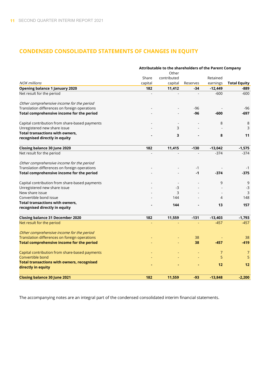## **CONDENSED CONSOLIDATED STATEMENTS OF CHANGES IN EQUITY**

|                                                   | Attributable to the shareholders of the Parent Company |             |          |                |                     |  |  |
|---------------------------------------------------|--------------------------------------------------------|-------------|----------|----------------|---------------------|--|--|
|                                                   |                                                        | Other       |          |                |                     |  |  |
|                                                   | Share                                                  | contributed |          | Retained       |                     |  |  |
| <b>NOK</b> millions                               | capital                                                | capital     | Reserves | earnings       | <b>Total Equity</b> |  |  |
| <b>Opening balance 1 January 2020</b>             | 182                                                    | 11,412      | $-34$    | $-12,449$      | -889                |  |  |
| Net result for the period                         |                                                        |             |          | $-600$         | $-600$              |  |  |
| Other comprehensive income for the period         |                                                        |             |          |                |                     |  |  |
| Translation differences on foreign operations     |                                                        |             | $-96$    |                | $-96$               |  |  |
| Total comprehensive income for the period         |                                                        |             | -96      | $-600$         | $-697$              |  |  |
| Capital contribution from share-based payments    |                                                        |             |          | 8              | 8                   |  |  |
| Unregistered new share issue                      |                                                        | 3           |          |                | 3                   |  |  |
| <b>Total transactions with owners,</b>            |                                                        | 3           |          | 8              | 11                  |  |  |
| recognised directly in equity                     |                                                        |             |          |                |                     |  |  |
| Closing balance 30 June 2020                      | 182                                                    | 11,415      | $-130$   | $-13,042$      | $-1,575$            |  |  |
| Net result for the period                         |                                                        |             |          | $-374$         | $-374$              |  |  |
| Other comprehensive income for the period         |                                                        |             |          |                |                     |  |  |
| Translation differences on foreign operations     |                                                        |             | $-1$     |                | $-1$                |  |  |
| Total comprehensive income for the period         |                                                        |             | $-1$     | $-374$         | $-375$              |  |  |
| Capital contribution from share-based payments    |                                                        |             |          | 9              | 9                   |  |  |
| Unregistered new share issue                      |                                                        | $-3$        |          |                | $-3$                |  |  |
| New share issue                                   |                                                        | 3           |          |                | 3                   |  |  |
| Convertible bond issue                            |                                                        | 144         |          | 4              | 148                 |  |  |
| <b>Total transactions with owners,</b>            |                                                        | 144         |          | 13             | 157                 |  |  |
| recognised directly in equity                     |                                                        |             |          |                |                     |  |  |
| <b>Closing balance 31 December 2020</b>           | 182                                                    | 11,559      | $-131$   | $-13,403$      | $-1,793$            |  |  |
| Net result for the period                         |                                                        |             |          | $-457$         | $-457$              |  |  |
| Other comprehensive income for the period         |                                                        |             |          |                |                     |  |  |
| Translation differences on foreign operations     |                                                        |             | 38       |                | 38                  |  |  |
| Total comprehensive income for the period         |                                                        |             | 38       | $-457$         | -419                |  |  |
| Capital contribution from share-based payments    |                                                        |             |          | $\overline{7}$ | $\overline{7}$      |  |  |
| Convertible bond                                  |                                                        |             |          | 5              | 5                   |  |  |
| <b>Total transactions with owners, recognised</b> |                                                        |             |          | 12             | 12                  |  |  |
| directly in equity                                |                                                        |             |          |                |                     |  |  |
| <b>Closing balance 30 June 2021</b>               | 182                                                    | 11,559      | -93      | $-13,848$      | $-2,200$            |  |  |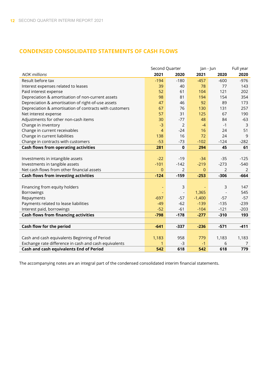#### **CONDENSED CONSOLIDATED STATEMENTS OF CASH FLOWS**

|                                                         | Second Quarter |                          |          | Jan - Jun      |        |
|---------------------------------------------------------|----------------|--------------------------|----------|----------------|--------|
| <b>NOK</b> millions                                     | 2021           | 2020                     | 2021     | 2020           | 2020   |
| Result before tax                                       | $-194$         | $-180$                   | $-457$   | $-600$         | $-976$ |
| Interest expenses related to leases                     | 39             | 40                       | 78       | 77             | 143    |
| Paid interest expense                                   | 52             | 61                       | 104      | 121            | 202    |
| Depreciation & amortisation of non-current assets       | 98             | 81                       | 194      | 154            | 354    |
| Depreciation & amortisation of right-of-use assets      | 47             | 46                       | 92       | 89             | 173    |
| Depreciation & amortisation of contracts with customers | 67             | 76                       | 130      | 131            | 257    |
| Net interest expense                                    | 57             | 31                       | 125      | 67             | 190    |
| Adjustments for other non-cash items                    | 30             | $-77$                    | 48       | 84             | $-63$  |
| Change in inventory                                     | $-3$           | $\overline{2}$           | $-4$     | $-1$           | 3      |
| Change in current receivables                           | $\overline{4}$ | $-24$                    | 16       | 24             | 51     |
| Change in current liabilities                           | 138            | 16                       | 72       | 24             | 9      |
| Change in contracts with customers                      | $-53$          | $-73$                    | $-102$   | $-124$         | $-282$ |
| <b>Cash flows from operating activities</b>             | 281            | $\mathbf{0}$             | 294      | 45             | 61     |
|                                                         |                |                          |          |                |        |
| Investments in intangible assets                        | $-22$          | $-19$                    | $-34$    | $-35$          | $-125$ |
| Investments in tangible assets                          | $-101$         | $-142$                   | $-219$   | $-273$         | $-540$ |
| Net cash flows from other financial assets              | $\mathbf{0}$   | $\overline{2}$           | $\Omega$ | $\overline{2}$ | 2      |
| <b>Cash flows from investing activities</b>             | $-124$         | $-159$                   | $-253$   | $-306$         | $-664$ |
|                                                         |                |                          |          |                |        |
| Financing from equity holders                           |                | 3                        |          | 3              | 147    |
| Borrowings                                              |                | $\overline{\phantom{a}}$ | 1,365    |                | 545    |
| Repayments                                              | $-697$         | $-57$                    | $-1,400$ | $-57$          | $-57$  |
| Payments related to lease liabilities                   | $-49$          | $-62$                    | $-139$   | $-135$         | $-239$ |
| Interest paid, borrowings                               | $-52$          | $-61$                    | $-104$   | $-121$         | $-203$ |
| <b>Cash flows from financing activities</b>             | $-798$         | $-178$                   | $-277$   | $-310$         | 193    |
|                                                         |                |                          |          |                |        |
| Cash flow for the period                                | $-641$         | $-337$                   | $-236$   | $-571$         | $-411$ |
|                                                         |                |                          |          |                |        |
| Cash and cash equivalents Beginning of Period           | 1,183          | 958                      | 779      | 1,183          | 1,183  |
| Exchange rate difference in cash and cash equivalents   | 1              | -3                       | $-1$     | 6              | 7      |
| Cash and cash equivalents End of Period                 | 542            | 618                      | 542      | 618            | 779    |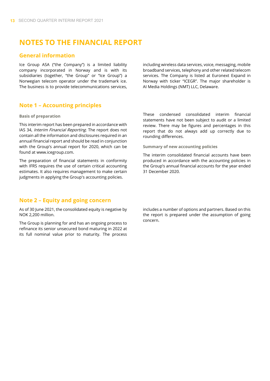## **NOTES TO THE FINANCIAL REPORT**

#### **General information**

Ice Group ASA ("the Company") is a limited liability company incorporated in Norway and is with its subsidiaries (together, "the Group" or "Ice Group") a Norwegian telecom operator under the trademark ice. The business is to provide telecommunications services,

including wireless data services, voice, messaging, mobile broadband services, telephony and other related telecom services. The Company is listed at Euronext Expand in Norway with ticker "ICEGR". The major shareholder is AI Media Holdings (NMT) LLC, Delaware.

#### **Note 1 – Accounting principles**

#### **Basis of preparation**

This interim report has been prepared in accordance with IAS 34, Interim Financial Reporting. The report does not contain all the information and disclosures required in an annual financial report and should be read in conjunction with the Group's annual report for 2020, which can be found at www.icegroup.com.

The preparation of financial statements in conformity with IFRS requires the use of certain critical accounting estimates. It also requires management to make certain judgments in applying the Group's accounting policies.

These condensed consolidated interim financial statements have not been subject to audit or a limited review. There may be figures and percentages in this report that do not always add up correctly due to rounding differences.

**Summary of new accounting policies**

The interim consolidated financial accounts have been produced in accordance with the accounting policies in the Group's annual financial accounts for the year ended 31 December 2020.

#### **Note 2 – Equity and going concern**

As of 30 June 2021, the consolidated equity is negative by NOK 2,200 million.

The Group is planning for and has an ongoing process to refinance its senior unsecured bond maturing in 2022 at its full nominal value prior to maturity. The process includes a number of options and partners. Based on this the report is prepared under the assumption of going concern.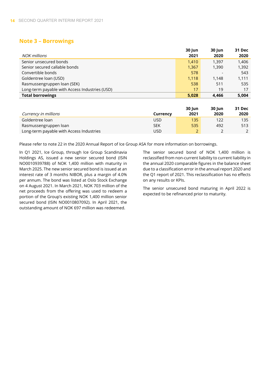#### **Note 3 – Borrowings**

|                                                | 30 Jun | <b>30 Jun</b> | 31 Dec |
|------------------------------------------------|--------|---------------|--------|
| NOK millions                                   | 2021   | 2020          | 2020   |
| Senior unsecured bonds                         | 1,410  | 1.397         | 1,406  |
| Senior secured callable bonds                  | 1,367  | 1,390         | 1,392  |
| Convertible bonds                              | 578    |               | 543    |
| Goldentree loan (USD)                          | 1,118  | 1.148         | 1,111  |
| Rasmussengruppen loan (SEK)                    | 538    | 511           | 535    |
| Long-term payable with Access Industries (USD) | 17     | 19            | 17     |
| <b>Total borrowings</b>                        | 5,028  | 4.466         | 5,004  |

|                                          |          | 30 Jun                   | <b>30 lun</b> | 31 Dec |
|------------------------------------------|----------|--------------------------|---------------|--------|
| Currency in millions                     | Currency | 2021                     | 2020          | 2020   |
| Goldentree loan                          | USD      | 135                      | 122           | 135    |
| Rasmussengruppen loan                    | SEK      | 535                      | 492           | 513    |
| Long-term payable with Access Industries | USD      | $\overline{\phantom{0}}$ |               |        |

Please refer to note 22 in the 2020 Annual Report of Ice Group ASA for more information on borrowings.

In Q1 2021, Ice Group, through Ice Group Scandinavia Holdings AS, issued a new senior secured bond (ISIN NO0010939788) of NOK 1,400 million with maturity in March 2025. The new senior secured bond is issued at an interest rate of 3 months NIBOR, plus a margin of 4.0% per annum. The bond was listed at Oslo Stock Exchange on 4 August 2021. In March 2021, NOK 703 million of the net proceeds from the offering was used to redeem a portion of the Group's existing NOK 1,400 million senior secured bond (ISIN NO0010807092). In April 2021, the outstanding amount of NOK 697 million was redeemed.

The senior secured bond of NOK 1,400 million is reclassified from non-current liability to current liability in the annual 2020 comparable figures in the balance sheet due to a classification error in the annual report 2020 and the Q1 report of 2021. This reclassification has no effects on any results or KPIs.

The senior unsecured bond maturing in April 2022 is expected to be refinanced prior to maturity.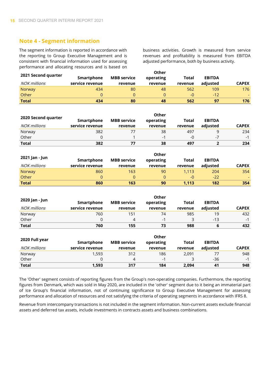#### **Note 4 - Segment information**

The segment information is reported in accordance with the reporting to Group Executive Management and is consistent with financial information used for assessing performance and allocating resources and is based on business activities. Growth is measured from service revenues and profitability is measured from EBITDA adjusted performance, both by business activity.

|                     | Other           |                    |           |         |               |              |  |
|---------------------|-----------------|--------------------|-----------|---------|---------------|--------------|--|
| 2021 Second quarter | Smartphone      | <b>MBB</b> service | operating | Total   | <b>EBITDA</b> |              |  |
| NOK millions        | service revenue | revenue            | revenue   | revenue | adjusted      | <b>CAPEX</b> |  |
| Norway              | 434             | 80                 | 48        | 562     | 109           | 176          |  |
| Other               | $\Omega$        |                    |           | $-0$    | $-12$         |              |  |
| <b>Total</b>        | 434             | 80                 | 48        | 562     | 97            | 176          |  |

|                     |                 |                    | Other     |         |               |              |
|---------------------|-----------------|--------------------|-----------|---------|---------------|--------------|
| 2020 Second quarter | Smartphone      | <b>MBB</b> service | operating | Total   | <b>EBITDA</b> |              |
| NOK millions        | service revenue | revenue            | revenue   | revenue | adjusted      | <b>CAPEX</b> |
| Norway              | 382             |                    | 38        | 497     |               | 234          |
| Other               |                 |                    | -1        | $-0$    | -7            | $-1$         |
| <b>Total</b>        | 382             |                    | 38        | 497     |               | 234          |

|                |                 |                    | Other     |         |               |              |
|----------------|-----------------|--------------------|-----------|---------|---------------|--------------|
| 2021 Jan - Jun | Smartphone      | <b>MBB</b> service | operating | Total   | <b>EBITDA</b> |              |
| NOK millions   | service revenue | revenue            | revenue   | revenue | adjusted      | <b>CAPEX</b> |
| Norway         | 860             | 163                | 90        | 1.113   | 204           | 354          |
| Other          | 0               | 0                  | 0         | $-0$    | $-22$         |              |
| <b>Total</b>   | 860             | 163                | 90        | 1.113   | 182           | 354          |

|                |                                               |         | Other   |         |               |              |
|----------------|-----------------------------------------------|---------|---------|---------|---------------|--------------|
| 2020 Jan - Jun | <b>MBB</b> service<br>Smartphone<br>operating |         |         | Total   | <b>EBITDA</b> |              |
| NOK millions   | service revenue                               | revenue | revenue | revenue | adjusted      | <b>CAPEX</b> |
| Norway         | 760                                           | 151     | 74      | 985     | 19            | 432          |
| Other          | 0                                             |         | $-1$    |         | $-13$         | $-1$         |
| <b>Total</b>   | 760                                           | 155     | 73      | 988     | ь             | 432          |

|                |                 |                    | Other     |         |               |              |
|----------------|-----------------|--------------------|-----------|---------|---------------|--------------|
| 2020 Full year | Smartphone      | <b>MBB</b> service | operating | Total   | <b>EBITDA</b> |              |
| NOK millions   | service revenue | revenue            | revenue   | revenue | adiusted      | <b>CAPEX</b> |
| Norway         | 1,593           | 312                | 186       | 2.091   | 77            | 948          |
| Other          | 0               | 4                  | $-1$      |         | $-36$         | $-1$         |
| <b>Total</b>   | 1,593           | 317                | 184       | 2.094   | 41            | 948          |

The 'Other' segment consists of reporting figures from the Group's non-operating companies. Furthermore, the reporting figures from Denmark, which was sold in May 2020, are included in the 'other' segment due to it being an immaterial part of Ice Group's financial information, not of continuing significance to Group Executive Management for assessing performance and allocation of resources and not satisfying the criteria of operating segments in accordance with IFRS 8.

Revenue from intercompany transactions is not included in the segment information. Non-current assets exclude financial assets and deferred tax assets, include investments in contracts assets and business combinations.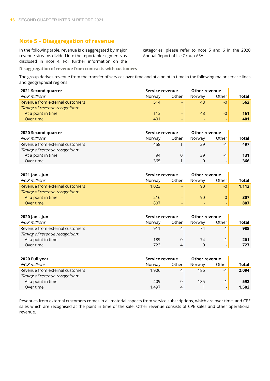#### **Note 5 – Disaggregation of revenue**

In the following table, revenue is disaggregated by major revenue streams divided into the reportable segments as disclosed in note 4. For further information on the categories, please refer to note 5 and 6 in the 2020 Annual Report of Ice Group ASA.

**Disaggregation of revenue from contracts with customers**

The group derives revenue from the transfer of services over time and at a point in time in the following major service lines and geographical regions:

| 2021 Second quarter             | Service revenue |                          | <b>Other revenue</b> |       |       |
|---------------------------------|-----------------|--------------------------|----------------------|-------|-------|
| <b>NOK millions</b>             | Norway          | Other                    | Norway               | Other | Total |
| Revenue from external customers | 514             | $\overline{\phantom{0}}$ | 48                   | $-0$  | 562   |
| Timing of revenue recognition:  |                 |                          |                      |       |       |
| At a point in time              | 113             | $\overline{\phantom{0}}$ | 48                   | $-0$  | 161   |
| Over time                       | 401             | $\overline{\phantom{0}}$ |                      | -     | 401   |

| 2020 Second quarter             | Service revenue |       | <b>Other revenue</b> |                          |       |
|---------------------------------|-----------------|-------|----------------------|--------------------------|-------|
| NOK millions                    | Norway          | Other | Norway               | Other                    | Total |
| Revenue from external customers | 458             |       | 39                   | $\overline{\phantom{0}}$ | 497   |
| Timing of revenue recognition:  |                 |       |                      |                          |       |
| At a point in time              | 94              |       | 39                   | $-1$                     | 131   |
| Over time                       | 365             |       |                      |                          | 366   |

| 2021 Jan – Jun                  | Service revenue |                | Other revenue |       |       |
|---------------------------------|-----------------|----------------|---------------|-------|-------|
| NOK millions                    | Norway          | Other          | Norway        | Other | Total |
| Revenue from external customers | 1.023           | -              | 90            | $-0$  | 1.113 |
| Timing of revenue recognition:  |                 |                |               |       |       |
| At a point in time              | 216             | -              | 90            | $-0$  | 307   |
| Over time                       | 807             | $\overline{a}$ |               | -     | 807   |

| 2020 Jan – Jun                  | Service revenue |       | Other revenue |       |       |
|---------------------------------|-----------------|-------|---------------|-------|-------|
| NOK millions                    | Norway          | Other | Norway        | Other | Total |
| Revenue from external customers | 911             | 4     | 74            | $-1$  | 988   |
| Timing of revenue recognition:  |                 |       |               |       |       |
| At a point in time              | 189             | 0     | 74            | $-1$  | 261   |
| Over time                       | 723             | 4     |               | -     | 727   |

| 2020 Full year                  | Service revenue |       | <b>Other revenue</b> |       |       |
|---------------------------------|-----------------|-------|----------------------|-------|-------|
| NOK millions                    | Norway          | Other | Norway               | Other | Total |
| Revenue from external customers | 1,906           | 4     | 186                  | $-1$  | 2,094 |
| Timing of revenue recognition:  |                 |       |                      |       |       |
| At a point in time              | 409             |       | 185                  | $-1$  | 592   |
| Over time                       | 1.497           | 4     |                      | -     | 1,502 |

Revenues from external customers comes in all material aspects from service subscriptions, which are over time, and CPE sales which are recognised at the point in time of the sale. Other revenue consists of CPE sales and other operational revenue.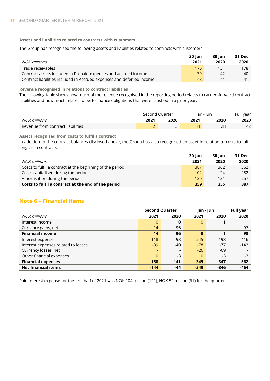**Assets and liabilities related to contracts with customers**

The Group has recognised the following assets and liabilities related to contracts with customers:

|                                                                       | <b>30 lun</b> | <b>30 lun</b> | 31 Dec     |
|-----------------------------------------------------------------------|---------------|---------------|------------|
| NOK millions                                                          | 2021          | 2020          | 2020       |
| Trade receivables                                                     | 176           | 131           | 178        |
| Contract assets included in Prepaid expenses and accrued income       | 39            | 42            | 40         |
| Contract liabilities included in Accrued expenses and deferred income | 48            | 44            | $\Delta$ 1 |

**Revenue recognised in relations to contract liabilities**

The following table shows how much of the revenue recognised in the reporting period relates to carried-forward contract liabilities and how much relates to performance obligations that were satisfied in a prior year.

|                                   | Second Quarter |      |      | Jan - Jun |      |
|-----------------------------------|----------------|------|------|-----------|------|
| NOK millions                      | 2021           | 2020 | 2021 | 2020      | 2020 |
| Revenue from contract liabilities |                | ້    | 34   | 28        |      |

**Assets recognised from costs to fulfil a contract**

In addition to the contract balances disclosed above, the Group has also recognised an asset in relation to costs to fulfil long-term contracts.

|                                                           | <b>30 Jun</b> | 30 lun | 31 Dec |
|-----------------------------------------------------------|---------------|--------|--------|
| NOK millions                                              | 2021          | 2020   | 2020   |
| Costs to fulfil a contract at the beginning of the period | 387           | 362    | 362    |
| Costs capitalised during the period                       | 102           | 124    | 282    |
| Amortisation during the period                            | $-130$        | $-131$ | $-257$ |
| Costs to fulfil a contract at the end of the period       | 359           | 355    | 387    |

#### **Note 6 – Financial items**

|                                     | <b>Second Quarter</b>    |          |                          | Jan - Jun                |        |
|-------------------------------------|--------------------------|----------|--------------------------|--------------------------|--------|
| NOK millions                        | 2021                     | 2020     | 2021                     | 2020                     | 2020   |
| Interest income                     | $\overline{0}$           | $\Omega$ | 0                        |                          |        |
| Currency gains, net                 | 14                       | 96       | $\overline{\phantom{0}}$ | $\overline{\phantom{a}}$ | 97     |
| <b>Financial income</b>             | 14                       | 96       | $\bf{0}$                 |                          | 98     |
| Interest expense                    | $-118$                   | $-98$    | $-245$                   | $-198$                   | $-416$ |
| Interest expenses related to leases | $-39$                    | $-40$    | $-78$                    | $-77$                    | $-143$ |
| Currency losses, net                | $\overline{\phantom{0}}$ | -        | $-26$                    | $-69$                    |        |
| Other financial expenses            | $\overline{0}$           | $-3$     | $\Omega$                 | $-3$                     | -3     |
| <b>Financial expenses</b>           | $-158$                   | $-141$   | $-349$                   | $-347$                   | $-562$ |
| <b>Net financial items</b>          | $-144$                   | $-44$    | $-349$                   | $-346$                   | -464   |

Paid interest expense for the first half of 2021 was NOK 104 million (121), NOK 52 million (61) for the quarter.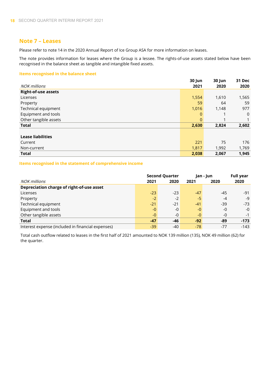#### **Note 7 – Leases**

Please refer to note 14 in the 2020 Annual Report of Ice Group ASA for more information on leases.

The note provides information for leases where the Group is a lessee. The rights-of-use assets stated below have been recognised in the balance sheet as tangible and intangible fixed assets.

#### **Items recognised in the balance sheet**

|                            | 30 Jun       | 30 Jun | <b>31 Dec</b>  |
|----------------------------|--------------|--------|----------------|
| <b>NOK millions</b>        | 2021         | 2020   | 2020           |
| <b>Right-of-use assets</b> |              |        |                |
| Licenses                   | 1,554        | 1,610  | 1,565          |
| Property                   | 59           | 64     | 59             |
| Technical equipment        | 1,016        | 1,148  | 977            |
| Equipment and tools        | $\mathbf{0}$ |        | $\overline{0}$ |
| Other tangible assets      | $\mathbf{0}$ |        |                |
| <b>Total</b>               | 2,630        | 2,824  | 2,602          |
|                            |              |        |                |
| <b>Lease liabilities</b>   |              |        |                |
| Current                    | 221          | 75     | 176            |
| Non-current                | 1,817        | 1,992  | 1,769          |
| <b>Total</b>               | 2,038        | 2,067  | 1,945          |

#### **Items recognised in the statement of comprehensive income**

|                                                   | <b>Second Quarter</b> |       | Jan - Jun |       | <b>Full year</b> |
|---------------------------------------------------|-----------------------|-------|-----------|-------|------------------|
| NOK millions                                      | 2021                  | 2020  | 2021      | 2020  | 2020             |
| Depreciation charge of right-of-use asset         |                       |       |           |       |                  |
| Licenses                                          | $-23$                 | $-23$ | $-47$     | $-45$ | $-91$            |
| Property                                          | $-2$                  | $-2$  | -5        | $-4$  | -9               |
| Technical equipment                               | $-21$                 | $-21$ | $-41$     | $-39$ | $-73$            |
| Equipment and tools                               | -0                    | $-0$  | $-0$      | -0    | $-0$             |
| Other tangible assets                             | $-0$                  | $-0$  | $-0$      | -0    | $-1$             |
| <b>Total</b>                                      | $-47$                 | -46   | $-92$     | -89   | $-173$           |
| Interest expense (included in financial expenses) | $-39$                 | $-40$ | $-78$     | $-77$ | $-143$           |

Total cash outflow related to leases in the first half of 2021 amounted to NOK 139 million (135), NOK 49 million (62) for the quarter.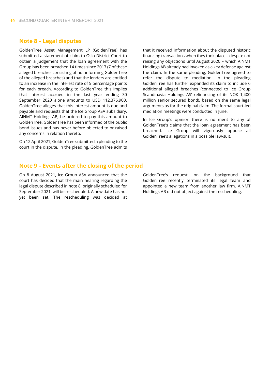#### **Note 8 – Legal disputes**

GoldenTree Asset Management LP (GoldenTree) has submitted a statement of claim to Oslo District Court to obtain a judgement that the loan agreement with the Group has been breached 14 times since 2017 (7 of these alleged breaches consisting of not informing GoldenTree of the alleged breaches) and that the lenders are entitled to an increase in the interest rate of 5 percentage points for each breach. According to GoldenTree this implies that interest accrued in the last year ending 30 September 2020 alone amounts to USD 112,376,900. GoldenTree alleges that this interest amount is due and payable and requests that the Ice Group ASA subsidiary, AINMT Holdings AB, be ordered to pay this amount to GoldenTree. GoldenTree has been informed of the public bond issues and has never before objected to or raised any concerns in relation thereto.

On 12 April 2021, GoldenTree submitted a pleading to the court in the dispute. In the pleading, GoldenTree admits that it received information about the disputed historic financing transactions when they took place – despite not raising any objections until August 2020 – which AINMT Holdings AB already had invoked as a key defense against the claim. In the same pleading, GoldenTree agreed to refer the dispute to mediation. In the pleading GoldenTree has further expanded its claim to include 6 additional alleged breaches (connected to Ice Group Scandinavia Holdings AS' refinancing of its NOK 1,400 million senior secured bond), based on the same legal arguments as for the original claim. The formal court-led mediation meetings were conducted in June.

In Ice Group's opinion there is no merit to any of GoldenTree's claims that the loan agreement has been breached. Ice Group will vigorously oppose all GoldenTree's allegations in a possible law-suit.

#### **Note 9 – Events after the closing of the period**

On 8 August 2021, Ice Group ASA announced that the court has decided that the main hearing regarding the legal dispute described in note 8, originally scheduled for September 2021, will be rescheduled. A new date has not yet been set. The rescheduling was decided at

GoldenTree's request, on the background that GoldenTree recently terminated its legal team and appointed a new team from another law firm. AINMT Holdings AB did not object against the rescheduling.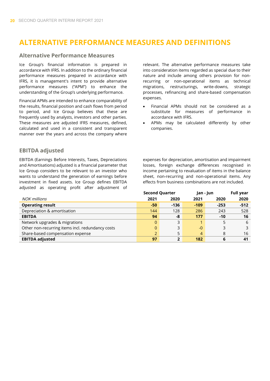## **ALTERNATIVE PERFORMANCE MEASURES AND DEFINITIONS**

#### **Alternative Performance Measures**

Ice Group's financial information is prepared in accordance with IFRS. In addition to the ordinary financial performance measures prepared in accordance with IFRS, it is management's intent to provide alternative performance measures ("APM") to enhance the understanding of the Group's underlying performance.

Financial APMs are intended to enhance comparability of the results, financial position and cash flows from period to period, and Ice Group believes that these are frequently used by analysts, investors and other parties. These measures are adjusted IFRS measures, defined, calculated and used in a consistent and transparent manner over the years and across the company where

#### **EBITDA adjusted**

EBITDA (Earnings Before Interests, Taxes, Depreciations and Amortisations) adjusted is a financial parameter that Ice Group considers to be relevant to an investor who wants to understand the generation of earnings before investment in fixed assets. Ice Group defines EBITDA adjusted as operating profit after adjustment of

relevant. The alternative performance measures take into consideration items regarded as special due to their nature and include among others provision for nonrecurring or non-operational items as technical migrations, restructurings, write-downs, strategic processes, refinancing and share-based compensation expenses.

- Financial APMs should not be considered as a substitute for measures of performance in accordance with IFRS.
- APMs may be calculated differently by other companies.

expenses for depreciation, amortisation and impairment losses, foreign exchange differences recognised in income pertaining to revaluation of items in the balance sheet, non-recurring and non-operational items. Any effects from business combinations are not included.

|                                                  | <b>Second Quarter</b> |        |                | Jan - Jun |        |
|--------------------------------------------------|-----------------------|--------|----------------|-----------|--------|
| NOK millions                                     | 2021                  | 2020   | 2021           | 2020      | 2020   |
| <b>Operating result</b>                          | $-50$                 | $-136$ | $-109$         | $-253$    | $-512$ |
| Depreciation & amortisation                      | 144                   | 128    | 286            | 243       | 528    |
| <b>EBITDA</b>                                    | 94                    | -8     | 177            | $-10$     | 16     |
| Network upgrades & migrations                    | $\overline{0}$        | 3      |                |           | 6      |
| Other non-recurring items incl. redundancy costs | $\overline{0}$        | 3      | $-0$           | 3         | 3      |
| Share-based compensation expense                 | $\overline{2}$        | 5      | $\overline{4}$ | 8         | 16     |
| <b>EBITDA adjusted</b>                           | 97                    | າ      | 182            | 6         | 41     |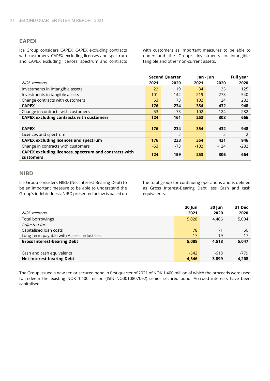#### **CAPEX**

Ice Group considers CAPEX, CAPEX excluding contracts with customers, CAPEX excluding licenses and spectrum and CAPEX excluding licences, spectrum and contracts with customers as important measures to be able to understand the Group's investments in intangible, tangible and other non-current assets.

|                                                       | <b>Second Quarter</b> |       | Jan - Jun |        | <b>Full year</b> |
|-------------------------------------------------------|-----------------------|-------|-----------|--------|------------------|
| <b>NOK millions</b>                                   | 2021                  | 2020  | 2021      | 2020   | 2020             |
| Investments in intangible assets                      | 22                    | 19    | 34        | 35     | 125              |
| Investments in tangible assets                        | 101                   | 142   | 219       | 273    | 540              |
| Change contracts with customers                       | 53                    | 73    | 102       | 124    | 282              |
| <b>CAPEX</b>                                          | 176                   | 234   | 354       | 432    | 948              |
| Change in contracts with customers                    | $-53$                 | $-73$ | $-102$    | $-124$ | $-282$           |
| <b>CAPEX excluding contracts with customers</b>       | 124                   | 161   | 253       | 308    | 666              |
|                                                       |                       |       |           |        |                  |
| <b>CAPEX</b>                                          | 176                   | 234   | 354       | 432    | 948              |
| Licences and spectrum                                 |                       | $-2$  |           | $-2$   | $-2$             |
| <b>CAPEX excluding licences and spectrum</b>          | 176                   | 233   | 354       | 431    | 946              |
| Change in contracts with customers                    | $-53$                 | $-73$ | $-102$    | $-124$ | $-282$           |
| CAPEX excluding licences, spectrum and contracts with |                       |       | 253       |        |                  |
| customers                                             | 124                   | 159   |           | 306    | 664              |

#### **NIBD**

Ice Group considers NIBD (Net Interest-Bearing Debt) to be an important measure to be able to understand the Group's indebtedness. NIBD presented below is based on the total group for continuing operations and is defined as Gross Interest-Bearing Debt less Cash and cash equivalents.

|                                          | <b>30 Jun</b> | <b>30 Jun</b> | <b>31 Dec</b> |
|------------------------------------------|---------------|---------------|---------------|
| NOK millions                             | 2021          | 2020          | 2020          |
| Total borrowings                         | 5,028         | 4,466         | 5,004         |
| Adjusted for:                            |               |               |               |
| Capitalised loan costs                   | 78            | 71            | 60            |
| Long-term payable with Access Industries | $-17$         | $-19$         | $-17$         |
| <b>Gross Interest-bearing Debt</b>       | 5,088         | 4,518         | 5,047         |
|                                          |               |               |               |
| Cash and cash equivalents                | $-542$        | $-618$        | $-779$        |
| <b>Net Interest-bearing Debt</b>         | 4.546         | 3,899         | 4.268         |

The Group issued a new senior secured bond in first quarter of 2021 of NOK 1,400 million of which the proceeds were used to redeem the existing NOK 1,400 million (ISIN NO0010807092) senior secured bond. Accrued interests have been capitalised.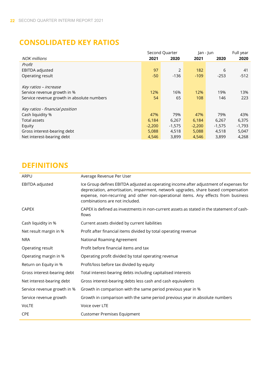## **CONSOLIDATED KEY RATIOS**

|                                            | Second Quarter |          | Jan - Jun |          | Full year |
|--------------------------------------------|----------------|----------|-----------|----------|-----------|
| <b>NOK</b> millions                        | 2021           | 2020     | 2021      | 2020     | 2020      |
| Profit                                     |                |          |           |          |           |
| EBITDA adjusted                            | 97             | 2        | 182       | 6        | 41        |
| Operating result                           | $-50$          | $-136$   | $-109$    | $-253$   | $-512$    |
|                                            |                |          |           |          |           |
| Key ratios – increase                      |                |          |           |          |           |
| Service revenue growth in %                | 12%            | 16%      | 12%       | 19%      | 13%       |
| Service revenue growth in absolute numbers | 54             | 65       | 108       | 146      | 223       |
|                                            |                |          |           |          |           |
| Key ratios - financial position            |                |          |           |          |           |
| Cash liquidity %                           | 47%            | 79%      | 47%       | 79%      | 43%       |
| <b>Total assets</b>                        | 6,184          | 6,267    | 6,184     | 6,267    | 6,375     |
| Equity                                     | $-2,200$       | $-1,575$ | $-2,200$  | $-1,575$ | $-1,793$  |
| Gross interest-bearing debt                | 5,088          | 4,518    | 5,088     | 4,518    | 5,047     |
| Net interest-bearing debt                  | 4,546          | 3,899    | 4,546     | 3,899    | 4,268     |

## **DEFINITIONS**

| ARPU                        | Average Revenue Per User                                                                                                                                                                                                                                                                            |
|-----------------------------|-----------------------------------------------------------------------------------------------------------------------------------------------------------------------------------------------------------------------------------------------------------------------------------------------------|
| EBITDA adjusted             | Ice Group defines EBITDA adjusted as operating income after adjustment of expenses for<br>depreciation, amortisation, impairment, network upgrades, share based compensation<br>expense, non-recurring and other non-operational items. Any effects from business<br>combinations are not included. |
| <b>CAPEX</b>                | CAPEX is defined as investments in non-current assets as stated in the statement of cash-<br>flows                                                                                                                                                                                                  |
| Cash liquidity in %         | Current assets divided by current liabilities                                                                                                                                                                                                                                                       |
| Net result margin in %      | Profit after financial items divided by total operating revenue                                                                                                                                                                                                                                     |
| <b>NRA</b>                  | National Roaming Agreement                                                                                                                                                                                                                                                                          |
| Operating result            | Profit before financial items and tax                                                                                                                                                                                                                                                               |
| Operating margin in %       | Operating profit divided by total operating revenue                                                                                                                                                                                                                                                 |
| Return on Equity in %       | Profit/loss before tax divided by equity                                                                                                                                                                                                                                                            |
| Gross interest-bearing debt | Total interest-bearing debts including capitalised interests                                                                                                                                                                                                                                        |
| Net interest-bearing debt   | Gross interest-bearing debts less cash and cash equivalents                                                                                                                                                                                                                                         |
| Service revenue growth in % | Growth in comparison with the same period previous year in %                                                                                                                                                                                                                                        |
| Service revenue growth      | Growth in comparison with the same period previous year in absolute numbers                                                                                                                                                                                                                         |
| VoLTE                       | Voice over LTE                                                                                                                                                                                                                                                                                      |
| <b>CPE</b>                  | <b>Customer Premises Equipment</b>                                                                                                                                                                                                                                                                  |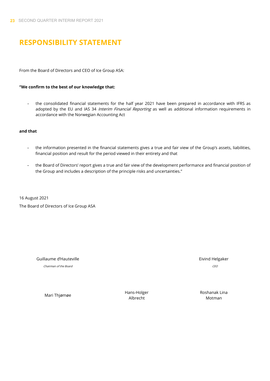## **RESPONSIBILITY STATEMENT**

From the Board of Directors and CEO of Ice Group ASA:

#### **"We confirm to the best of our knowledge that:**

- the consolidated financial statements for the half year 2021 have been prepared in accordance with IFRS as adopted by the EU and IAS 34 Interim Financial Reporting as well as additional information requirements in accordance with the Norwegian Accounting Act

#### **and that**

- the information presented in the financial statements gives a true and fair view of the Group's assets, liabilities, financial position and result for the period viewed in their entirety and that
- the Board of Directors' report gives a true and fair view of the development performance and financial position of the Group and includes a description of the principle risks and uncertainties."

16 August 2021

The Board of Directors of Ice Group ASA

Guillaume d'Hauteville et annour aux comme de la comme de la comme de la comme de la comme de la comme de la co

Chairman of the Board CEO

Mari Thjømøe Mari Thjømøe Hans-Holger Albrecht

Roshanak Lina Motman